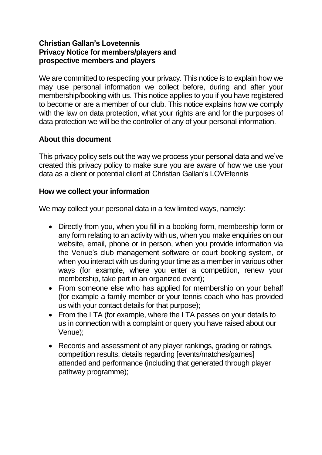## **Christian Gallan's Lovetennis Privacy Notice for members/players and prospective members and players**

We are committed to respecting your privacy. This notice is to explain how we may use personal information we collect before, during and after your membership/booking with us. This notice applies to you if you have registered to become or are a member of our club. This notice explains how we comply with the law on data protection, what your rights are and for the purposes of data protection we will be the controller of any of your personal information.

# **About this document**

This privacy policy sets out the way we process your personal data and we've created this privacy policy to make sure you are aware of how we use your data as a client or potential client at Christian Gallan's LOVEtennis

#### **How we collect your information**

We may collect your personal data in a few limited ways, namely:

- Directly from you, when you fill in a booking form, membership form or any form relating to an activity with us, when you make enquiries on our website, email, phone or in person, when you provide information via the Venue's club management software or court booking system, or when you interact with us during your time as a member in various other ways (for example, where you enter a competition, renew your membership, take part in an organized event);
- From someone else who has applied for membership on your behalf (for example a family member or your tennis coach who has provided us with your contact details for that purpose);
- From the LTA (for example, where the LTA passes on your details to us in connection with a complaint or query you have raised about our Venue);
- Records and assessment of any player rankings, grading or ratings, competition results, details regarding [events/matches/games] attended and performance (including that generated through player pathway programme);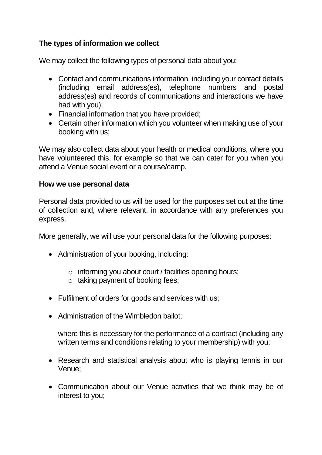# **The types of information we collect**

We may collect the following types of personal data about you:

- Contact and communications information, including your contact details (including email address(es), telephone numbers and postal address(es) and records of communications and interactions we have had with you);
- Financial information that you have provided;
- Certain other information which you volunteer when making use of your booking with us;

We may also collect data about your health or medical conditions, where you have volunteered this, for example so that we can cater for you when you attend a Venue social event or a course/camp.

#### **How we use personal data**

Personal data provided to us will be used for the purposes set out at the time of collection and, where relevant, in accordance with any preferences you express.

More generally, we will use your personal data for the following purposes:

- Administration of your booking, including:
	- o informing you about court / facilities opening hours;
	- $\circ$  taking payment of booking fees;
- Fulfilment of orders for goods and services with us;
- Administration of the Wimbledon ballot;

where this is necessary for the performance of a contract (including any written terms and conditions relating to your membership) with you;

- Research and statistical analysis about who is playing tennis in our Venue;
- Communication about our Venue activities that we think may be of interest to you;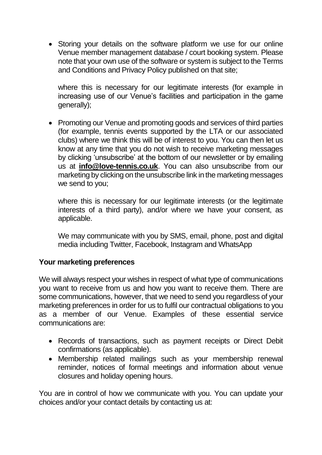• Storing your details on the software platform we use for our online Venue member management database / court booking system. Please note that your own use of the software or system is subject to the Terms and Conditions and Privacy Policy published on that site;

where this is necessary for our legitimate interests (for example in increasing use of our Venue's facilities and participation in the game generally);

• Promoting our Venue and promoting goods and services of third parties (for example, tennis events supported by the LTA or our associated clubs) where we think this will be of interest to you. You can then let us know at any time that you do not wish to receive marketing messages by clicking 'unsubscribe' at the bottom of our newsletter or by emailing us at **info@love-tennis.co.uk**. You can also unsubscribe from our marketing by clicking on the unsubscribe link in the marketing messages we send to you;

where this is necessary for our legitimate interests (or the legitimate interests of a third party), and/or where we have your consent, as applicable.

We may communicate with you by SMS, email, phone, post and digital media including Twitter, Facebook, Instagram and WhatsApp

# **Your marketing preferences**

We will always respect your wishes in respect of what type of communications you want to receive from us and how you want to receive them. There are some communications, however, that we need to send you regardless of your marketing preferences in order for us to fulfil our contractual obligations to you as a member of our Venue. Examples of these essential service communications are:

- Records of transactions, such as payment receipts or Direct Debit confirmations (as applicable).
- Membership related mailings such as your membership renewal reminder, notices of formal meetings and information about venue closures and holiday opening hours.

You are in control of how we communicate with you. You can update your choices and/or your contact details by contacting us at: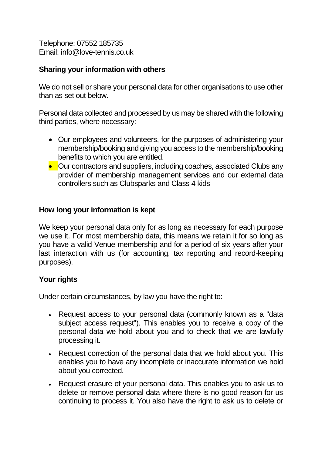Telephone: 07552 185735 Email: info@love-tennis.co.uk

## **Sharing your information with others**

We do not sell or share your personal data for other organisations to use other than as set out below.

Personal data collected and processed by us may be shared with the following third parties, where necessary:

- Our employees and volunteers, for the purposes of administering your membership/booking and giving you access to the membership/booking benefits to which you are entitled.
- Our contractors and suppliers, including coaches, associated Clubs any provider of membership management services and our external data controllers such as Clubsparks and Class 4 kids

## **How long your information is kept**

We keep your personal data only for as long as necessary for each purpose we use it. For most membership data, this means we retain it for so long as you have a valid Venue membership and for a period of six years after your last interaction with us (for accounting, tax reporting and record-keeping purposes).

# **Your rights**

Under certain circumstances, by law you have the right to:

- Request access to your personal data (commonly known as a "data subject access request"). This enables you to receive a copy of the personal data we hold about you and to check that we are lawfully processing it.
- Request correction of the personal data that we hold about you. This enables you to have any incomplete or inaccurate information we hold about you corrected.
- Request erasure of your personal data. This enables you to ask us to delete or remove personal data where there is no good reason for us continuing to process it. You also have the right to ask us to delete or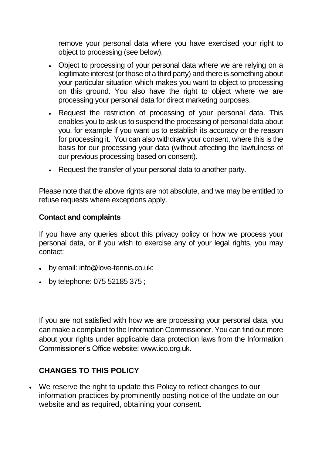remove your personal data where you have exercised your right to object to processing (see below).

- Object to processing of your personal data where we are relying on a legitimate interest (or those of a third party) and there is something about your particular situation which makes you want to object to processing on this ground. You also have the right to object where we are processing your personal data for direct marketing purposes.
- Request the restriction of processing of your personal data. This enables you to ask us to suspend the processing of personal data about you, for example if you want us to establish its accuracy or the reason for processing it. You can also withdraw your consent, where this is the basis for our processing your data (without affecting the lawfulness of our previous processing based on consent).
- Request the transfer of your personal data to another party.

Please note that the above rights are not absolute, and we may be entitled to refuse requests where exceptions apply.

#### **Contact and complaints**

If you have any queries about this privacy policy or how we process your personal data, or if you wish to exercise any of your legal rights, you may contact:

- by email: info@love-tennis.co.uk;
- by telephone: 075 52185 375 ;

If you are not satisfied with how we are processing your personal data, you can make a complaint to the Information Commissioner. You can find out more about your rights under applicable data protection laws from the Information Commissioner's Office website: [www.ico.org.uk.](http://www.ico.org.uk/)

# **CHANGES TO THIS POLICY**

• We reserve the right to update this Policy to reflect changes to our information practices by prominently posting notice of the update on our website and as required, obtaining your consent.